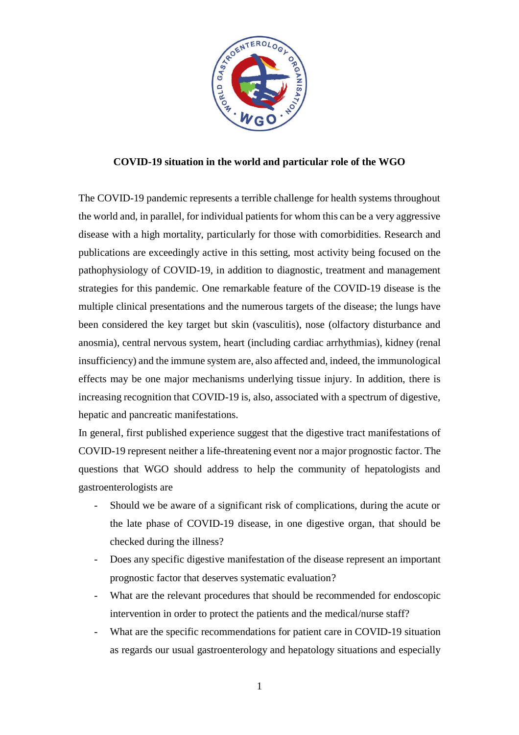

## **COVID-19 situation in the world and particular role of the WGO**

The COVID-19 pandemic represents a terrible challenge for health systems throughout the world and, in parallel, for individual patients for whom this can be a very aggressive disease with a high mortality, particularly for those with comorbidities. Research and publications are exceedingly active in this setting, most activity being focused on the pathophysiology of COVID-19, in addition to diagnostic, treatment and management strategies for this pandemic. One remarkable feature of the COVID-19 disease is the multiple clinical presentations and the numerous targets of the disease; the lungs have been considered the key target but skin (vasculitis), nose (olfactory disturbance and anosmia), central nervous system, heart (including cardiac arrhythmias), kidney (renal insufficiency) and the immune system are, also affected and, indeed, the immunological effects may be one major mechanisms underlying tissue injury. In addition, there is increasing recognition that COVID-19 is, also, associated with a spectrum of digestive, hepatic and pancreatic manifestations.

In general, first published experience suggest that the digestive tract manifestations of COVID-19 represent neither a life-threatening event nor a major prognostic factor. The questions that WGO should address to help the community of hepatologists and gastroenterologists are

- Should we be aware of a significant risk of complications, during the acute or the late phase of COVID-19 disease, in one digestive organ, that should be checked during the illness?
- Does any specific digestive manifestation of the disease represent an important prognostic factor that deserves systematic evaluation?
- What are the relevant procedures that should be recommended for endoscopic intervention in order to protect the patients and the medical/nurse staff?
- What are the specific recommendations for patient care in COVID-19 situation as regards our usual gastroenterology and hepatology situations and especially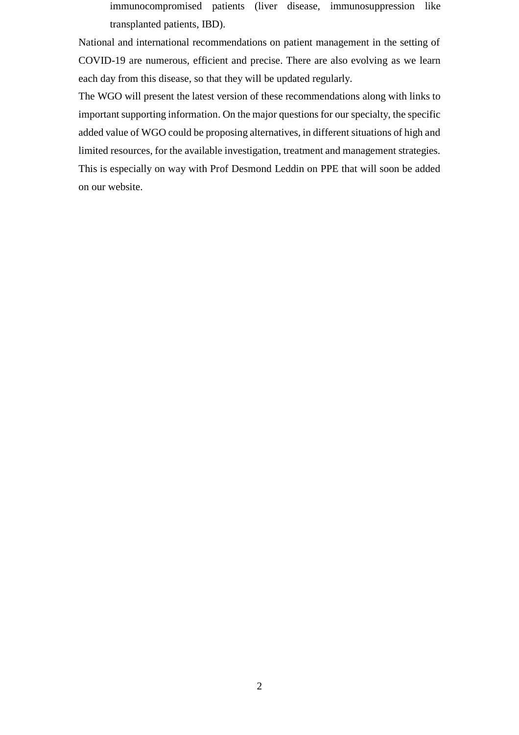immunocompromised patients (liver disease, immunosuppression like transplanted patients, IBD).

National and international recommendations on patient management in the setting of COVID-19 are numerous, efficient and precise. There are also evolving as we learn each day from this disease, so that they will be updated regularly.

The WGO will present the latest version of these recommendations along with links to important supporting information. On the major questions for our specialty, the specific added value of WGO could be proposing alternatives, in different situations of high and limited resources, for the available investigation, treatment and management strategies. This is especially on way with Prof Desmond Leddin on PPE that will soon be added on our website.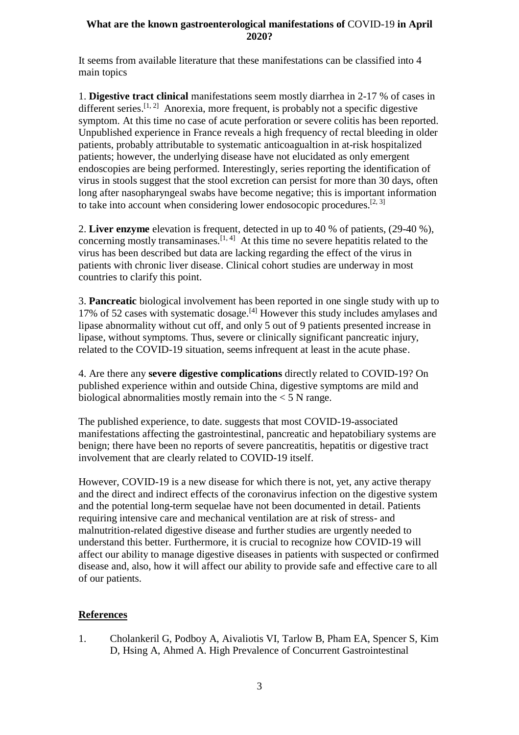## **What are the known gastroenterological manifestations of** COVID-19 **in April 2020?**

It seems from available literature that these manifestations can be classified into 4 main topics

1. **Digestive tract clinical** manifestations seem mostly diarrhea in 2-17 % of cases in different series.<sup>[1, 2]</sup> Anorexia, more frequent, is probably not a specific digestive symptom. At this time no case of acute perforation or severe colitis has been reported. Unpublished experience in France reveals a high frequency of rectal bleeding in older patients, probably attributable to systematic anticoagualtion in at-risk hospitalized patients; however, the underlying disease have not elucidated as only emergent endoscopies are being performed. Interestingly, series reporting the identification of virus in stools suggest that the stool excretion can persist for more than 30 days, often long after nasopharyngeal swabs have become negative; this is important information to take into account when considering lower endosocopic procedures.<sup>[2, 3]</sup>

2. **Liver enzyme** elevation is frequent, detected in up to 40 % of patients, (29-40 %), concerning mostly transaminases.<sup>[1, 4]</sup> At this time no severe hepatitis related to the virus has been described but data are lacking regarding the effect of the virus in patients with chronic liver disease. Clinical cohort studies are underway in most countries to clarify this point.

3. **Pancreatic** biological involvement has been reported in one single study with up to 17% of 52 cases with systematic dosage.[4] However this study includes amylases and lipase abnormality without cut off, and only 5 out of 9 patients presented increase in lipase, without symptoms. Thus, severe or clinically significant pancreatic injury, related to the COVID-19 situation, seems infrequent at least in the acute phase.

4. Are there any **severe digestive complications** directly related to COVID-19? On published experience within and outside China, digestive symptoms are mild and biological abnormalities mostly remain into the  $<$  5 N range.

The published experience, to date. suggests that most COVID-19-associated manifestations affecting the gastrointestinal, pancreatic and hepatobiliary systems are benign; there have been no reports of severe pancreatitis, hepatitis or digestive tract involvement that are clearly related to COVID-19 itself.

However, COVID-19 is a new disease for which there is not, yet, any active therapy and the direct and indirect effects of the coronavirus infection on the digestive system and the potential long-term sequelae have not been documented in detail. Patients requiring intensive care and mechanical ventilation are at risk of stress- and malnutrition-related digestive disease and further studies are urgently needed to understand this better. Furthermore, it is crucial to recognize how COVID-19 will affect our ability to manage digestive diseases in patients with suspected or confirmed disease and, also, how it will affect our ability to provide safe and effective care to all of our patients.

## **References**

1. Cholankeril G, Podboy A, Aivaliotis VI, Tarlow B, Pham EA, Spencer S, Kim D, Hsing A, Ahmed A. High Prevalence of Concurrent Gastrointestinal